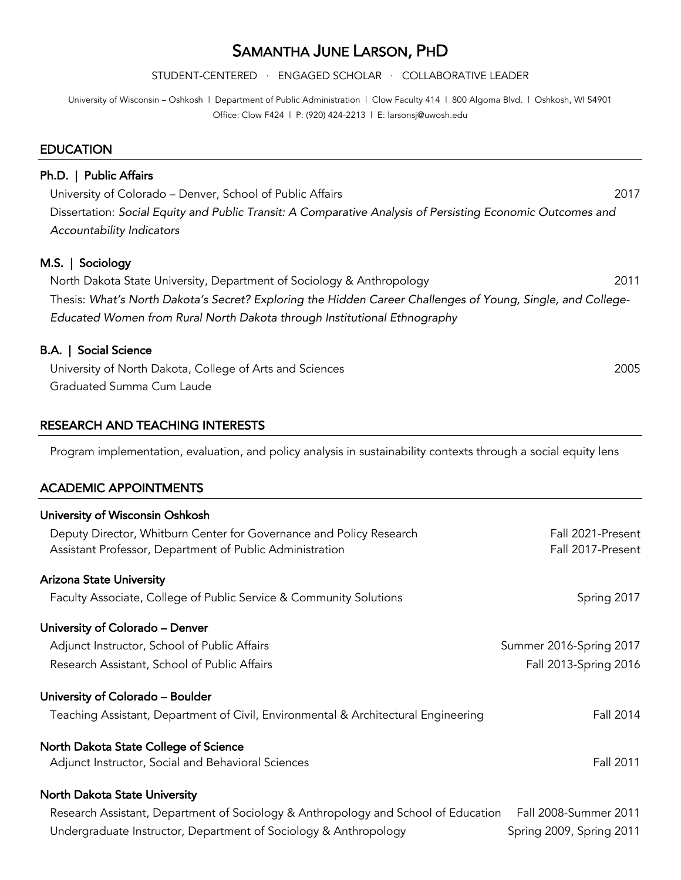# SAMANTHA JUNE LARSON, PHD

STUDENT-CENTERED ∙ ENGAGED SCHOLAR ∙ COLLABORATIVE LEADER

University of Wisconsin – Oshkosh | Department of Public Administration | Clow Faculty 414 | 800 Algoma Blvd. | Oshkosh, WI 54901 Office: Clow F424 | P: (920) 424-2213 | E: larsonsj@uwosh.edu

#### **EDUCATION**

# Ph.D. | Public Affairs University of Colorado – Denver, School of Public Affairs 2017 Dissertation: *Social Equity and Public Transit: A Comparative Analysis of Persisting Economic Outcomes and Accountability Indicators* M.S. | Sociology North Dakota State University, Department of Sociology & Anthropology 2011 Thesis: *What's North Dakota's Secret? Exploring the Hidden Career Challenges of Young, Single, and College-Educated Women from Rural North Dakota through Institutional Ethnography* B.A. | Social Science University of North Dakota, College of Arts and Sciences 2005 Graduated Summa Cum Laude

## RESEARCH AND TEACHING INTERESTS

Program implementation, evaluation, and policy analysis in sustainability contexts through a social equity lens

#### ACADEMIC APPOINTMENTS

| University of Wisconsin Oshkosh                                                    |                          |
|------------------------------------------------------------------------------------|--------------------------|
| Deputy Director, Whitburn Center for Governance and Policy Research                | Fall 2021-Present        |
| Assistant Professor, Department of Public Administration                           | Fall 2017-Present        |
| <b>Arizona State University</b>                                                    |                          |
| Faculty Associate, College of Public Service & Community Solutions                 | Spring 2017              |
| University of Colorado - Denver                                                    |                          |
| Adjunct Instructor, School of Public Affairs                                       | Summer 2016-Spring 2017  |
| Research Assistant, School of Public Affairs                                       | Fall 2013-Spring 2016    |
| University of Colorado - Boulder                                                   |                          |
| Teaching Assistant, Department of Civil, Environmental & Architectural Engineering | Fall 2014                |
| North Dakota State College of Science                                              |                          |
| Adjunct Instructor, Social and Behavioral Sciences                                 | Fall 2011                |
| North Dakota State University                                                      |                          |
| Research Assistant, Department of Sociology & Anthropology and School of Education | Fall 2008-Summer 2011    |
| Undergraduate Instructor, Department of Sociology & Anthropology                   | Spring 2009, Spring 2011 |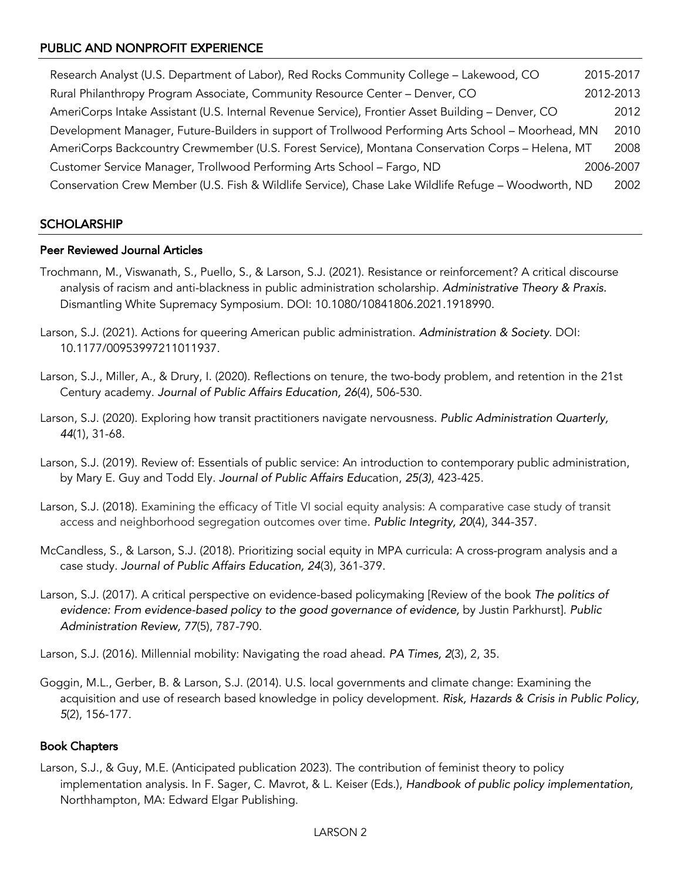# PUBLIC AND NONPROFIT EXPERIENCE

Research Analyst (U.S. Department of Labor), Red Rocks Community College – Lakewood, CO 2015-2017 Rural Philanthropy Program Associate, Community Resource Center – Denver, CO 2012-2013 AmeriCorps Intake Assistant (U.S. Internal Revenue Service), Frontier Asset Building – Denver, CO 2012 Development Manager, Future-Builders in support of Trollwood Performing Arts School – Moorhead, MN 2010 AmeriCorps Backcountry Crewmember (U.S. Forest Service), Montana Conservation Corps – Helena, MT 2008 Customer Service Manager, Trollwood Performing Arts School – Fargo, ND 2006-2007 Conservation Crew Member (U.S. Fish & Wildlife Service), Chase Lake Wildlife Refuge – Woodworth, ND 2002

# **SCHOLARSHIP**

### Peer Reviewed Journal Articles

- Trochmann, M., Viswanath, S., Puello, S., & Larson, S.J. (2021). Resistance or reinforcement? A critical discourse analysis of racism and anti-blackness in public administration scholarship. *Administrative Theory & Praxis.*  Dismantling White Supremacy Symposium. DOI: 10.1080/10841806.2021.1918990.
- Larson, S.J. (2021). Actions for queering American public administration. *Administration & Society*. DOI: 10.1177/00953997211011937.
- Larson, S.J., Miller, A., & Drury, I. (2020). Reflections on tenure, the two-body problem, and retention in the 21st Century academy. *Journal of Public Affairs Education, 26*(4), 506-530.
- Larson, S.J. (2020). Exploring how transit practitioners navigate nervousness. *Public Administration Quarterly, 44*(1), 31-68.
- Larson, S.J. (2019). Review of: Essentials of public service: An introduction to contemporary public administration, by Mary E. Guy and Todd Ely. *Journal of Public Affairs Edu*cation, *25(3)*, 423-425.
- Larson, S.J. (2018). Examining the efficacy of Title VI social equity analysis: A comparative case study of transit access and neighborhood segregation outcomes over time. *Public Integrity, 20*(4), 344-357.
- McCandless, S., & Larson, S.J. (2018). Prioritizing social equity in MPA curricula: A cross-program analysis and a case study. *Journal of Public Affairs Education, 24*(3), 361-379.
- Larson, S.J. (2017). A critical perspective on evidence-based policymaking [Review of the book *The politics of evidence: From evidence-based policy to the good governance of evidence,* by Justin Parkhurst]. *Public Administration Review, 77*(5), 787-790.

Larson, S.J. (2016). Millennial mobility: Navigating the road ahead. *PA Times, 2*(3), 2, 35.

Goggin, M.L., Gerber, B. & Larson, S.J. (2014). U.S. local governments and climate change: Examining the acquisition and use of research based knowledge in policy development. *Risk, Hazards & Crisis in Public Policy*, *5*(2), 156-177.

### Book Chapters

Larson, S.J., & Guy, M.E. (Anticipated publication 2023). The contribution of feminist theory to policy implementation analysis. In F. Sager, C. Mavrot, & L. Keiser (Eds.), *Handbook of public policy implementation,* Northhampton, MA: Edward Elgar Publishing.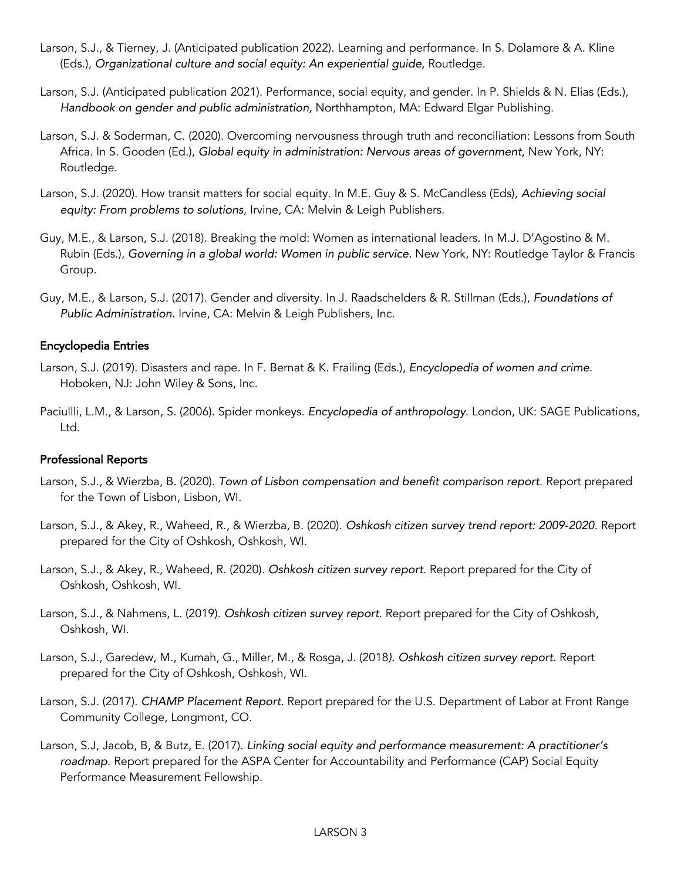- Larson, S.J., & Tierney, J. (Anticipated publication 2022). Learning and performance. In S. Dolamore & A. Kline (Eds.), *Organizational culture and social equity: An experiential guide,* Routledge.
- Larson, S.J. (Anticipated publication 2021). Performance, social equity, and gender. In P. Shields & N. Elias (Eds.), *Handbook on gender and public administration,* Northhampton, MA: Edward Elgar Publishing.
- Larson, S.J. & Soderman, C. (2020). Overcoming nervousness through truth and reconciliation: Lessons from South Africa. In S. Gooden (Ed.), *Global equity in administration: Nervous areas of government,* New York, NY: Routledge.
- Larson, S.J. (2020). How transit matters for social equity. In M.E. Guy & S. McCandless (Eds), *Achieving social equity: From problems to solutions*, Irvine, CA: Melvin & Leigh Publishers.
- Guy, M.E., & Larson, S.J. (2018). Breaking the mold: Women as international leaders*.* In M.J. D'Agostino & M. Rubin (Eds.), *Governing in a global world: Women in public service.* New York, NY: Routledge Taylor & Francis Group.
- Guy, M.E., & Larson, S.J. (2017). Gender and diversity. In J. Raadschelders & R. Stillman (Eds.), *Foundations of Public Administration.* Irvine, CA: Melvin & Leigh Publishers, Inc.

### Encyclopedia Entries

- Larson, S.J. (2019). Disasters and rape. In F. Bernat & K. Frailing (Eds.), *Encyclopedia of women and crime*. Hoboken, NJ: John Wiley & Sons, Inc.
- Paciullli, L.M., & Larson, S. (2006). Spider monkeys. *Encyclopedia of anthropology*. London, UK: SAGE Publications, Ltd.

### Professional Reports

- Larson, S.J., & Wierzba, B. (2020). *Town of Lisbon compensation and benefit comparison report*. Report prepared for the Town of Lisbon, Lisbon, WI.
- Larson, S.J., & Akey, R., Waheed, R., & Wierzba, B. (2020). *Oshkosh citizen survey trend report: 2009-2020*. Report prepared for the City of Oshkosh, Oshkosh, WI.
- Larson, S.J., & Akey, R., Waheed, R. (2020). *Oshkosh citizen survey report*. Report prepared for the City of Oshkosh, Oshkosh, WI.
- Larson, S.J., & Nahmens, L. (2019). *Oshkosh citizen survey report*. Report prepared for the City of Oshkosh, Oshkosh, WI.
- Larson, S.J., Garedew, M., Kumah, G., Miller, M., & Rosga, J. (2018*). Oshkosh citizen survey report*. Report prepared for the City of Oshkosh, Oshkosh, WI.
- Larson, S.J. (2017). *CHAMP Placement Report*. Report prepared for the U.S. Department of Labor at Front Range Community College, Longmont, CO.
- Larson, S.J, Jacob, B, & Butz, E. (2017). *Linking social equity and performance measurement: A practitioner's roadmap*. Report prepared for the ASPA Center for Accountability and Performance (CAP) Social Equity Performance Measurement Fellowship.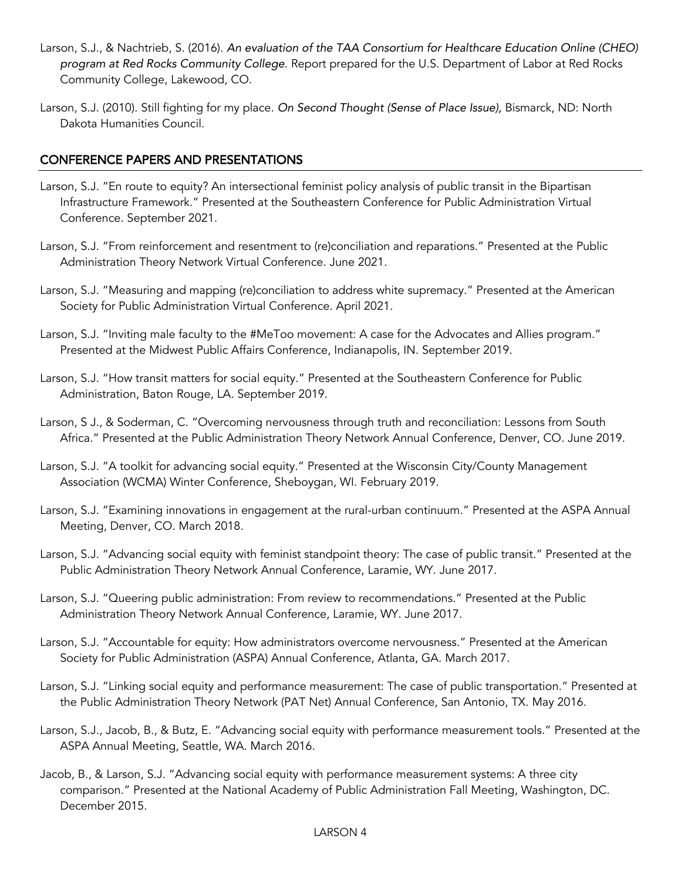- Larson, S.J., & Nachtrieb, S. (2016). *An evaluation of the TAA Consortium for Healthcare Education Online (CHEO) program at Red Rocks Community College*. Report prepared for the U.S. Department of Labor at Red Rocks Community College, Lakewood, CO.
- Larson, S.J. (2010). Still fighting for my place. *On Second Thought (Sense of Place Issue),* Bismarck, ND: North Dakota Humanities Council.

# CONFERENCE PAPERS AND PRESENTATIONS

- Larson, S.J. "En route to equity? An intersectional feminist policy analysis of public transit in the Bipartisan Infrastructure Framework." Presented at the Southeastern Conference for Public Administration Virtual Conference. September 2021.
- Larson, S.J. "From reinforcement and resentment to (re)conciliation and reparations." Presented at the Public Administration Theory Network Virtual Conference. June 2021.
- Larson, S.J. "Measuring and mapping (re)conciliation to address white supremacy." Presented at the American Society for Public Administration Virtual Conference. April 2021.
- Larson, S.J. "Inviting male faculty to the #MeToo movement: A case for the Advocates and Allies program." Presented at the Midwest Public Affairs Conference, Indianapolis, IN. September 2019.
- Larson, S.J. "How transit matters for social equity." Presented at the Southeastern Conference for Public Administration, Baton Rouge, LA. September 2019.
- Larson, S J., & Soderman, C. "Overcoming nervousness through truth and reconciliation: Lessons from South Africa." Presented at the Public Administration Theory Network Annual Conference, Denver, CO. June 2019.
- Larson, S.J. "A toolkit for advancing social equity." Presented at the Wisconsin City/County Management Association (WCMA) Winter Conference, Sheboygan, WI. February 2019.
- Larson, S.J. "Examining innovations in engagement at the rural-urban continuum." Presented at the ASPA Annual Meeting, Denver, CO. March 2018.
- Larson, S.J. "Advancing social equity with feminist standpoint theory: The case of public transit." Presented at the Public Administration Theory Network Annual Conference, Laramie, WY. June 2017.
- Larson, S.J. "Queering public administration: From review to recommendations." Presented at the Public Administration Theory Network Annual Conference, Laramie, WY. June 2017.
- Larson, S.J. "Accountable for equity: How administrators overcome nervousness." Presented at the American Society for Public Administration (ASPA) Annual Conference, Atlanta, GA. March 2017.
- Larson, S.J. "Linking social equity and performance measurement: The case of public transportation." Presented at the Public Administration Theory Network (PAT Net) Annual Conference, San Antonio, TX. May 2016.
- Larson, S.J., Jacob, B., & Butz, E. "Advancing social equity with performance measurement tools." Presented at the ASPA Annual Meeting, Seattle, WA. March 2016.
- Jacob, B., & Larson, S.J. "Advancing social equity with performance measurement systems: A three city comparison." Presented at the National Academy of Public Administration Fall Meeting, Washington, DC. December 2015.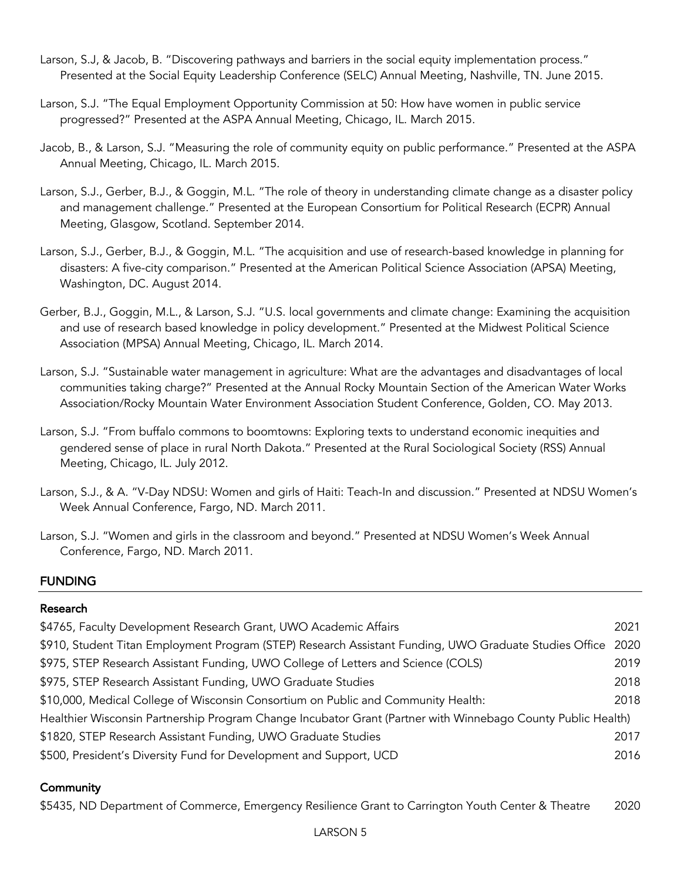- Larson, S.J, & Jacob, B. "Discovering pathways and barriers in the social equity implementation process." Presented at the Social Equity Leadership Conference (SELC) Annual Meeting, Nashville, TN. June 2015.
- Larson, S.J. "The Equal Employment Opportunity Commission at 50: How have women in public service progressed?" Presented at the ASPA Annual Meeting, Chicago, IL. March 2015.
- Jacob, B., & Larson, S.J. "Measuring the role of community equity on public performance." Presented at the ASPA Annual Meeting, Chicago, IL. March 2015.
- Larson, S.J., Gerber, B.J., & Goggin, M.L. "The role of theory in understanding climate change as a disaster policy and management challenge." Presented at the European Consortium for Political Research (ECPR) Annual Meeting, Glasgow, Scotland. September 2014.
- Larson, S.J., Gerber, B.J., & Goggin, M.L. "The acquisition and use of research-based knowledge in planning for disasters: A five-city comparison." Presented at the American Political Science Association (APSA) Meeting, Washington, DC. August 2014.
- Gerber, B.J., Goggin, M.L., & Larson, S.J. "U.S. local governments and climate change: Examining the acquisition and use of research based knowledge in policy development." Presented at the Midwest Political Science Association (MPSA) Annual Meeting, Chicago, IL. March 2014.
- Larson, S.J. "Sustainable water management in agriculture: What are the advantages and disadvantages of local communities taking charge?" Presented at the Annual Rocky Mountain Section of the American Water Works Association/Rocky Mountain Water Environment Association Student Conference, Golden, CO. May 2013.
- Larson, S.J. "From buffalo commons to boomtowns: Exploring texts to understand economic inequities and gendered sense of place in rural North Dakota." Presented at the Rural Sociological Society (RSS) Annual Meeting, Chicago, IL. July 2012.
- Larson, S.J., & A. "V-Day NDSU: Women and girls of Haiti: Teach-In and discussion." Presented at NDSU Women's Week Annual Conference, Fargo, ND. March 2011.
- Larson, S.J. "Women and girls in the classroom and beyond." Presented at NDSU Women's Week Annual Conference, Fargo, ND. March 2011.

# FUNDING

# Research

| \$4765, Faculty Development Research Grant, UWO Academic Affairs                                             | 2021 |
|--------------------------------------------------------------------------------------------------------------|------|
| \$910, Student Titan Employment Program (STEP) Research Assistant Funding, UWO Graduate Studies Office 2020  |      |
| \$975, STEP Research Assistant Funding, UWO College of Letters and Science (COLS)                            | 2019 |
| \$975, STEP Research Assistant Funding, UWO Graduate Studies                                                 | 2018 |
| \$10,000, Medical College of Wisconsin Consortium on Public and Community Health:                            | 2018 |
| Healthier Wisconsin Partnership Program Change Incubator Grant (Partner with Winnebago County Public Health) |      |
| \$1820, STEP Research Assistant Funding, UWO Graduate Studies                                                | 2017 |
| \$500, President's Diversity Fund for Development and Support, UCD                                           | 2016 |

# **Community**

\$5435, ND Department of Commerce, Emergency Resilience Grant to Carrington Youth Center & Theatre 2020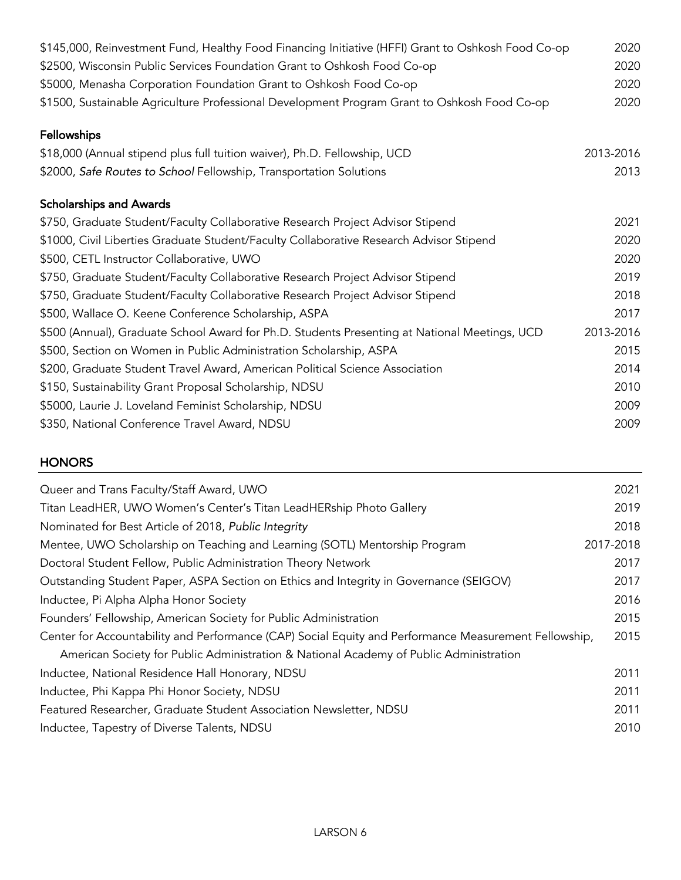| \$145,000, Reinvestment Fund, Healthy Food Financing Initiative (HFFI) Grant to Oshkosh Food Co-op | 2020      |
|----------------------------------------------------------------------------------------------------|-----------|
| \$2500, Wisconsin Public Services Foundation Grant to Oshkosh Food Co-op                           | 2020      |
| \$5000, Menasha Corporation Foundation Grant to Oshkosh Food Co-op                                 | 2020      |
| \$1500, Sustainable Agriculture Professional Development Program Grant to Oshkosh Food Co-op       | 2020      |
| Fellowships                                                                                        |           |
| \$18,000 (Annual stipend plus full tuition waiver), Ph.D. Fellowship, UCD                          | 2013-2016 |
| \$2000, Safe Routes to School Fellowship, Transportation Solutions                                 | 2013      |
| <b>Scholarships and Awards</b>                                                                     |           |
| \$750, Graduate Student/Faculty Collaborative Research Project Advisor Stipend                     | 2021      |
| \$1000, Civil Liberties Graduate Student/Faculty Collaborative Research Advisor Stipend            | 2020      |
| \$500, CETL Instructor Collaborative, UWO                                                          | 2020      |
| \$750, Graduate Student/Faculty Collaborative Research Project Advisor Stipend                     | 2019      |
| \$750, Graduate Student/Faculty Collaborative Research Project Advisor Stipend                     | 2018      |
| \$500, Wallace O. Keene Conference Scholarship, ASPA                                               | 2017      |
| \$500 (Annual), Graduate School Award for Ph.D. Students Presenting at National Meetings, UCD      | 2013-2016 |
| \$500, Section on Women in Public Administration Scholarship, ASPA                                 | 2015      |
| \$200, Graduate Student Travel Award, American Political Science Association                       | 2014      |
| \$150, Sustainability Grant Proposal Scholarship, NDSU                                             | 2010      |
| \$5000, Laurie J. Loveland Feminist Scholarship, NDSU                                              | 2009      |
| \$350, National Conference Travel Award, NDSU                                                      | 2009      |
| <b>HONORS</b>                                                                                      |           |

| Queer and Trans Faculty/Staff Award, UWO                                                              | 2021      |
|-------------------------------------------------------------------------------------------------------|-----------|
| Titan LeadHER, UWO Women's Center's Titan LeadHERship Photo Gallery                                   | 2019      |
| Nominated for Best Article of 2018, Public Integrity                                                  | 2018      |
| Mentee, UWO Scholarship on Teaching and Learning (SOTL) Mentorship Program                            | 2017-2018 |
| Doctoral Student Fellow, Public Administration Theory Network                                         | 2017      |
| Outstanding Student Paper, ASPA Section on Ethics and Integrity in Governance (SEIGOV)                | 2017      |
| Inductee, Pi Alpha Alpha Honor Society                                                                | 2016      |
| Founders' Fellowship, American Society for Public Administration                                      | 2015      |
| Center for Accountability and Performance (CAP) Social Equity and Performance Measurement Fellowship, | 2015      |
| American Society for Public Administration & National Academy of Public Administration                |           |
| Inductee, National Residence Hall Honorary, NDSU                                                      | 2011      |
| Inductee, Phi Kappa Phi Honor Society, NDSU                                                           | 2011      |
| Featured Researcher, Graduate Student Association Newsletter, NDSU                                    | 2011      |
| Inductee, Tapestry of Diverse Talents, NDSU                                                           | 2010      |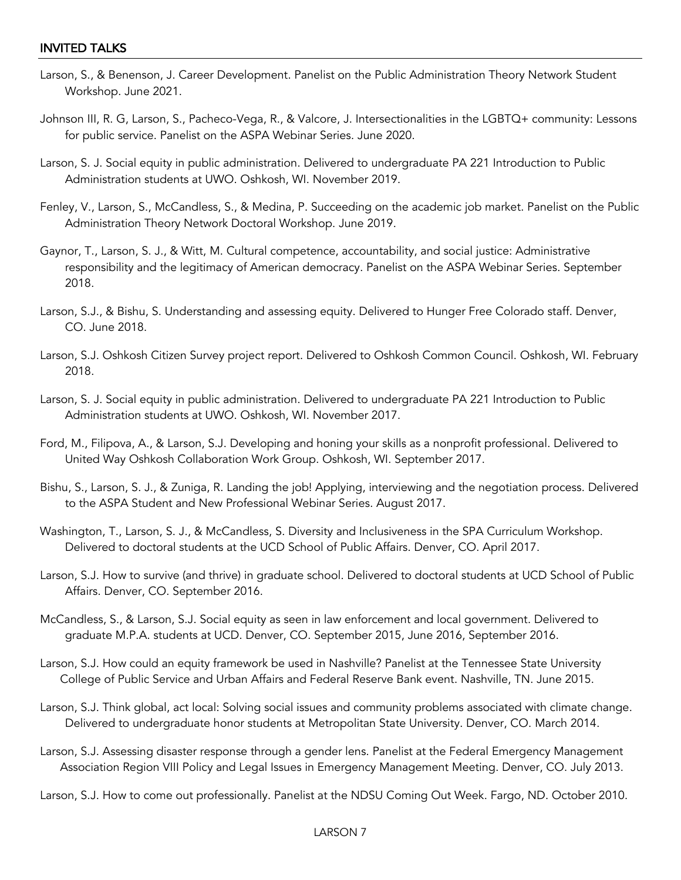## INVITED TALKS

- Larson, S., & Benenson, J. Career Development. Panelist on the Public Administration Theory Network Student Workshop. June 2021.
- Johnson III, R. G, Larson, S., Pacheco-Vega, R., & Valcore, J. Intersectionalities in the LGBTQ+ community: Lessons for public service. Panelist on the ASPA Webinar Series. June 2020.
- Larson, S. J. Social equity in public administration. Delivered to undergraduate PA 221 Introduction to Public Administration students at UWO. Oshkosh, WI. November 2019.
- Fenley, V., Larson, S., McCandless, S., & Medina, P. Succeeding on the academic job market. Panelist on the Public Administration Theory Network Doctoral Workshop. June 2019.
- Gaynor, T., Larson, S. J., & Witt, M. Cultural competence, accountability, and social justice: Administrative responsibility and the legitimacy of American democracy. Panelist on the ASPA Webinar Series. September 2018.
- Larson, S.J., & Bishu, S. Understanding and assessing equity. Delivered to Hunger Free Colorado staff. Denver, CO. June 2018.
- Larson, S.J. Oshkosh Citizen Survey project report. Delivered to Oshkosh Common Council. Oshkosh, WI. February 2018.
- Larson, S. J. Social equity in public administration. Delivered to undergraduate PA 221 Introduction to Public Administration students at UWO. Oshkosh, WI. November 2017.
- Ford, M., Filipova, A., & Larson, S.J. Developing and honing your skills as a nonprofit professional. Delivered to United Way Oshkosh Collaboration Work Group. Oshkosh, WI. September 2017.
- Bishu, S., Larson, S. J., & Zuniga, R. Landing the job! Applying, interviewing and the negotiation process. Delivered to the ASPA Student and New Professional Webinar Series. August 2017.
- Washington, T., Larson, S. J., & McCandless, S. Diversity and Inclusiveness in the SPA Curriculum Workshop. Delivered to doctoral students at the UCD School of Public Affairs. Denver, CO. April 2017.
- Larson, S.J. How to survive (and thrive) in graduate school. Delivered to doctoral students at UCD School of Public Affairs. Denver, CO. September 2016.
- McCandless, S., & Larson, S.J. Social equity as seen in law enforcement and local government. Delivered to graduate M.P.A. students at UCD. Denver, CO. September 2015, June 2016, September 2016.
- Larson, S.J. How could an equity framework be used in Nashville? Panelist at the Tennessee State University College of Public Service and Urban Affairs and Federal Reserve Bank event. Nashville, TN. June 2015.
- Larson, S.J. Think global, act local: Solving social issues and community problems associated with climate change. Delivered to undergraduate honor students at Metropolitan State University. Denver, CO. March 2014.
- Larson, S.J. Assessing disaster response through a gender lens. Panelist at the Federal Emergency Management Association Region VIII Policy and Legal Issues in Emergency Management Meeting. Denver, CO. July 2013.
- Larson, S.J. How to come out professionally. Panelist at the NDSU Coming Out Week. Fargo, ND. October 2010.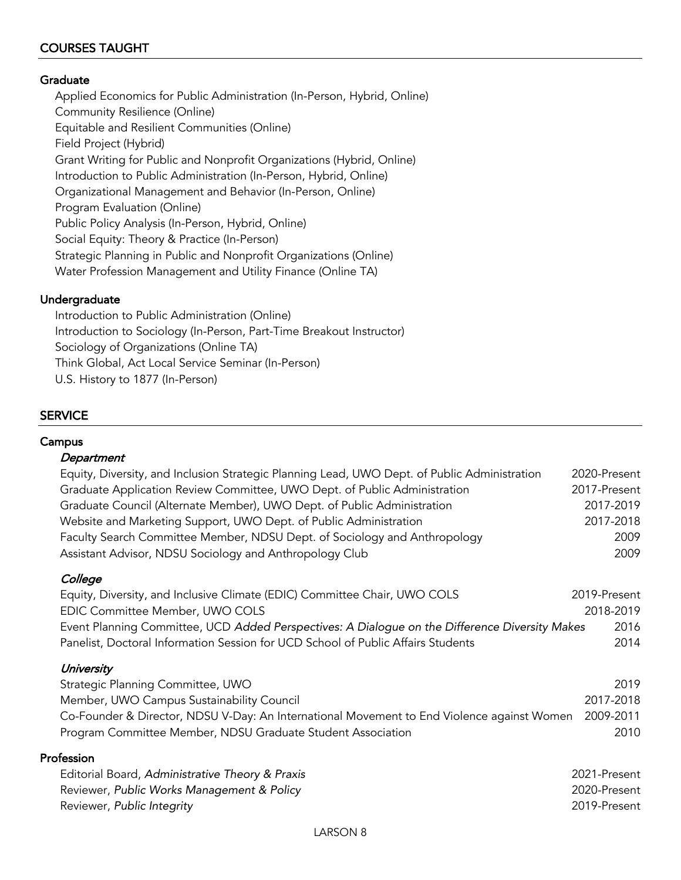# COURSES TAUGHT

#### **Graduate**

Applied Economics for Public Administration (In-Person, Hybrid, Online) Community Resilience (Online) Equitable and Resilient Communities (Online) Field Project (Hybrid) Grant Writing for Public and Nonprofit Organizations (Hybrid, Online) Introduction to Public Administration (In-Person, Hybrid, Online) Organizational Management and Behavior (In-Person, Online) Program Evaluation (Online) Public Policy Analysis (In-Person, Hybrid, Online) Social Equity: Theory & Practice (In-Person) Strategic Planning in Public and Nonprofit Organizations (Online) Water Profession Management and Utility Finance (Online TA)

#### Undergraduate

Introduction to Public Administration (Online) Introduction to Sociology (In-Person, Part-Time Breakout Instructor) Sociology of Organizations (Online TA) Think Global, Act Local Service Seminar (In-Person) U.S. History to 1877 (In-Person)

### **SERVICE**

#### **Campus**

#### **Department**

| Equity, Diversity, and Inclusion Strategic Planning Lead, UWO Dept. of Public Administration   | 2020-Present |
|------------------------------------------------------------------------------------------------|--------------|
| Graduate Application Review Committee, UWO Dept. of Public Administration                      | 2017-Present |
| Graduate Council (Alternate Member), UWO Dept. of Public Administration                        | 2017-2019    |
| Website and Marketing Support, UWO Dept. of Public Administration                              | 2017-2018    |
| Faculty Search Committee Member, NDSU Dept. of Sociology and Anthropology                      | 2009         |
| Assistant Advisor, NDSU Sociology and Anthropology Club                                        | 2009         |
| College                                                                                        |              |
| Equity, Diversity, and Inclusive Climate (EDIC) Committee Chair, UWO COLS                      | 2019-Present |
| EDIC Committee Member, UWO COLS                                                                | 2018-2019    |
| Event Planning Committee, UCD Added Perspectives: A Dialogue on the Difference Diversity Makes | 2016         |
| Panelist, Doctoral Information Session for UCD School of Public Affairs Students               | 2014         |
| University                                                                                     |              |
| Strategic Planning Committee, UWO                                                              | 2019         |
| Member, UWO Campus Sustainability Council                                                      | 2017-2018    |
| Co-Founder & Director, NDSU V-Day: An International Movement to End Violence against Women     | 2009-2011    |
| Program Committee Member, NDSU Graduate Student Association                                    | 2010         |
|                                                                                                |              |

### Profession

| Editorial Board, Administrative Theory & Praxis | 2021-Present |
|-------------------------------------------------|--------------|
| Reviewer, Public Works Management & Policy      | 2020-Present |
| Reviewer, Public Integrity                      | 2019-Present |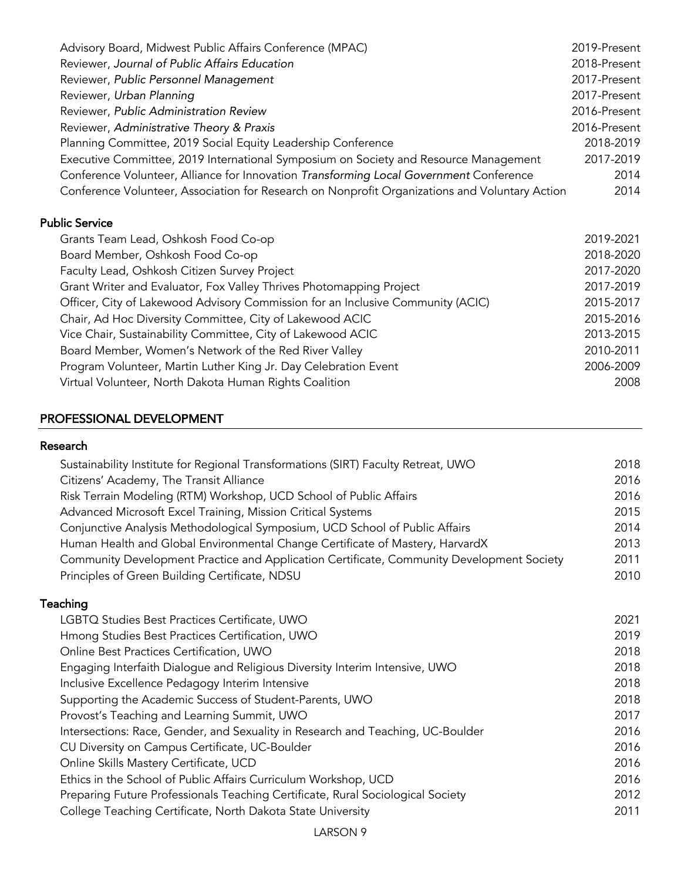| Advisory Board, Midwest Public Affairs Conference (MPAC)                                       | 2019-Present |
|------------------------------------------------------------------------------------------------|--------------|
| Reviewer, Journal of Public Affairs Education                                                  | 2018-Present |
| Reviewer, Public Personnel Management                                                          | 2017-Present |
| Reviewer, Urban Planning                                                                       | 2017-Present |
| Reviewer, Public Administration Review                                                         | 2016-Present |
| Reviewer, Administrative Theory & Praxis                                                       | 2016-Present |
| Planning Committee, 2019 Social Equity Leadership Conference                                   | 2018-2019    |
| Executive Committee, 2019 International Symposium on Society and Resource Management           | 2017-2019    |
| Conference Volunteer, Alliance for Innovation Transforming Local Government Conference         | 2014         |
| Conference Volunteer, Association for Research on Nonprofit Organizations and Voluntary Action | 2014         |

# Public Service

| Grants Team Lead, Oshkosh Food Co-op                                            | 2019-2021 |
|---------------------------------------------------------------------------------|-----------|
| Board Member, Oshkosh Food Co-op                                                | 2018-2020 |
| Faculty Lead, Oshkosh Citizen Survey Project                                    | 2017-2020 |
| Grant Writer and Evaluator, Fox Valley Thrives Photomapping Project             | 2017-2019 |
| Officer, City of Lakewood Advisory Commission for an Inclusive Community (ACIC) | 2015-2017 |
| Chair, Ad Hoc Diversity Committee, City of Lakewood ACIC                        | 2015-2016 |
| Vice Chair, Sustainability Committee, City of Lakewood ACIC                     | 2013-2015 |
| Board Member, Women's Network of the Red River Valley                           | 2010-2011 |
| Program Volunteer, Martin Luther King Jr. Day Celebration Event                 | 2006-2009 |
| Virtual Volunteer, North Dakota Human Rights Coalition                          | 2008      |

# PROFESSIONAL DEVELOPMENT

# Research

| Sustainability Institute for Regional Transformations (SIRT) Faculty Retreat, UWO         | 2018 |
|-------------------------------------------------------------------------------------------|------|
| Citizens' Academy, The Transit Alliance                                                   | 2016 |
| Risk Terrain Modeling (RTM) Workshop, UCD School of Public Affairs                        | 2016 |
| Advanced Microsoft Excel Training, Mission Critical Systems                               | 2015 |
| Conjunctive Analysis Methodological Symposium, UCD School of Public Affairs               | 2014 |
| Human Health and Global Environmental Change Certificate of Mastery, HarvardX             | 2013 |
| Community Development Practice and Application Certificate, Community Development Society | 2011 |
| Principles of Green Building Certificate, NDSU                                            | 2010 |
|                                                                                           |      |

# Teaching

| LGBTQ Studies Best Practices Certificate, UWO                                   | 2021 |
|---------------------------------------------------------------------------------|------|
| Hmong Studies Best Practices Certification, UWO                                 | 2019 |
| Online Best Practices Certification, UWO                                        | 2018 |
| Engaging Interfaith Dialogue and Religious Diversity Interim Intensive, UWO     | 2018 |
| Inclusive Excellence Pedagogy Interim Intensive                                 | 2018 |
| Supporting the Academic Success of Student-Parents, UWO                         | 2018 |
| Provost's Teaching and Learning Summit, UWO                                     | 2017 |
| Intersections: Race, Gender, and Sexuality in Research and Teaching, UC-Boulder | 2016 |
| CU Diversity on Campus Certificate, UC-Boulder                                  | 2016 |
| Online Skills Mastery Certificate, UCD                                          | 2016 |
| Ethics in the School of Public Affairs Curriculum Workshop, UCD                 | 2016 |
| Preparing Future Professionals Teaching Certificate, Rural Sociological Society | 2012 |
| College Teaching Certificate, North Dakota State University                     | 2011 |